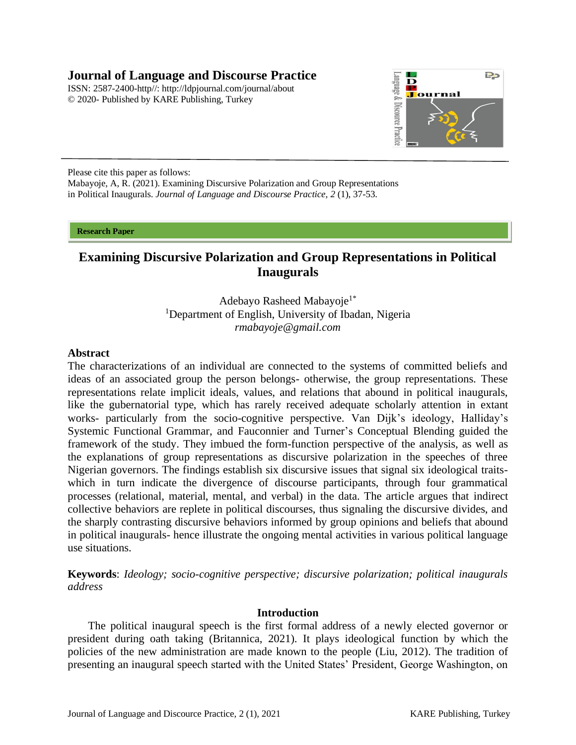# **Journal of Language and Discourse Practice**

ISSN: 2587-2400-http//: [http://ldpjournal.com/j](http://ldpjournal.com/)ournal/about © 2020- Published by KARE Publishing, Turkey



Please cite this paper as follows: Mabayoje, A, R. (2021). Examining Discursive Polarization and Group Representations

in Political Inaugurals. *Journal of Language and Discourse Practice, 2* (1), 37-53.

#### **Research Paper**

# **Examining Discursive Polarization and Group Representations in Political Inaugurals**

Adebayo Rasheed Mabayoje<sup>1\*</sup> <sup>1</sup>Department of English, University of Ibadan, Nigeria *[rmabayoje@gmail.com](mailto:rmabayoje@gmail.com)*

### **Abstract**

The characterizations of an individual are connected to the systems of committed beliefs and ideas of an associated group the person belongs- otherwise, the group representations. These representations relate implicit ideals, values, and relations that abound in political inaugurals, like the gubernatorial type, which has rarely received adequate scholarly attention in extant works- particularly from the socio-cognitive perspective. Van Dijk's ideology, Halliday's Systemic Functional Grammar, and Fauconnier and Turner's Conceptual Blending guided the framework of the study. They imbued the form-function perspective of the analysis, as well as the explanations of group representations as discursive polarization in the speeches of three Nigerian governors. The findings establish six discursive issues that signal six ideological traitswhich in turn indicate the divergence of discourse participants, through four grammatical processes (relational, material, mental, and verbal) in the data. The article argues that indirect collective behaviors are replete in political discourses, thus signaling the discursive divides, and the sharply contrasting discursive behaviors informed by group opinions and beliefs that abound in political inaugurals- hence illustrate the ongoing mental activities in various political language use situations.

**Keywords**: *Ideology; socio-cognitive perspective; discursive polarization; political inaugurals address* 

# **Introduction**

The political inaugural speech is the first formal address of a newly elected governor or president during oath taking (Britannica, 2021). It plays ideological function by which the policies of the new administration are made known to the people (Liu, 2012). The tradition of presenting an inaugural speech started with the United States' President, George Washington, on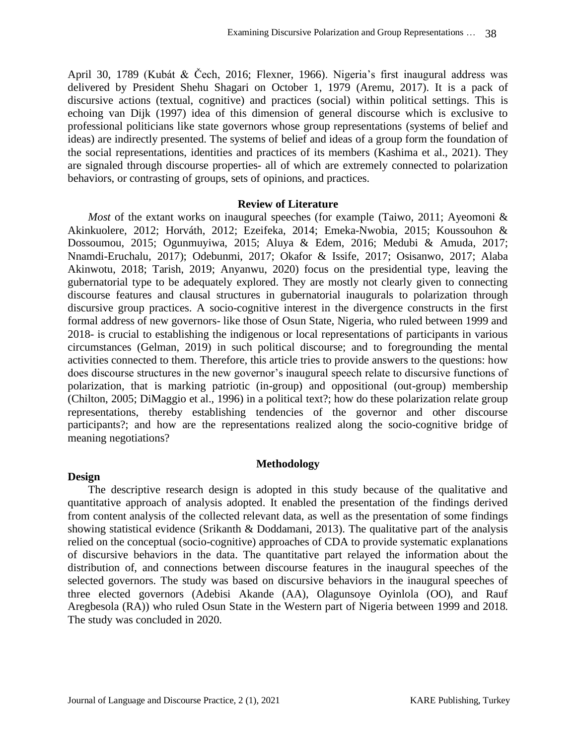April 30, 1789 (Kubát & Čech, 2016; Flexner, 1966). Nigeria's first inaugural address was delivered by President Shehu Shagari on October 1, 1979 (Aremu, 2017). It is a pack of discursive actions (textual, cognitive) and practices (social) within political settings. This is echoing van Dijk (1997) idea of this dimension of general discourse which is exclusive to professional politicians like state governors whose group representations (systems of belief and ideas) are indirectly presented. The systems of belief and ideas of a group form the foundation of the social representations, identities and practices of its members (Kashima et al., 2021). They are signaled through discourse properties- all of which are extremely connected to polarization behaviors, or contrasting of groups, sets of opinions, and practices.

### **Review of Literature**

*Most* of the extant works on inaugural speeches (for example (Taiwo, 2011; Ayeomoni & Akinkuolere, 2012; Horváth, 2012; Ezeifeka, 2014; Emeka-Nwobia, 2015; Koussouhon & Dossoumou, 2015; Ogunmuyiwa, 2015; Aluya & Edem, 2016; Medubi & Amuda, 2017; Nnamdi-Eruchalu, 2017); Odebunmi, 2017; Okafor & Issife, 2017; Osisanwo, 2017; Alaba Akinwotu, 2018; Tarish, 2019; Anyanwu, 2020) focus on the presidential type, leaving the gubernatorial type to be adequately explored. They are mostly not clearly given to connecting discourse features and clausal structures in gubernatorial inaugurals to polarization through discursive group practices. A socio-cognitive interest in the divergence constructs in the first formal address of new governors- like those of Osun State, Nigeria, who ruled between 1999 and 2018- is crucial to establishing the indigenous or local representations of participants in various circumstances (Gelman, 2019) in such political discourse; and to foregrounding the mental activities connected to them. Therefore, this article tries to provide answers to the questions: how does discourse structures in the new governor's inaugural speech relate to discursive functions of polarization, that is marking patriotic (in-group) and oppositional (out-group) membership (Chilton, 2005; DiMaggio et al., 1996) in a political text?; how do these polarization relate group representations, thereby establishing tendencies of the governor and other discourse participants?; and how are the representations realized along the socio-cognitive bridge of meaning negotiations?

# **Design**

The descriptive research design is adopted in this study because of the qualitative and quantitative approach of analysis adopted. It enabled the presentation of the findings derived from content analysis of the collected relevant data, as well as the presentation of some findings showing statistical evidence (Srikanth & Doddamani, 2013). The qualitative part of the analysis relied on the conceptual (socio-cognitive) approaches of CDA to provide systematic explanations of discursive behaviors in the data. The quantitative part relayed the information about the distribution of, and connections between discourse features in the inaugural speeches of the selected governors. The study was based on discursive behaviors in the inaugural speeches of three elected governors (Adebisi Akande (AA), Olagunsoye Oyinlola (OO), and Rauf Aregbesola (RA)) who ruled Osun State in the Western part of Nigeria between 1999 and 2018. The study was concluded in 2020.

**Methodology**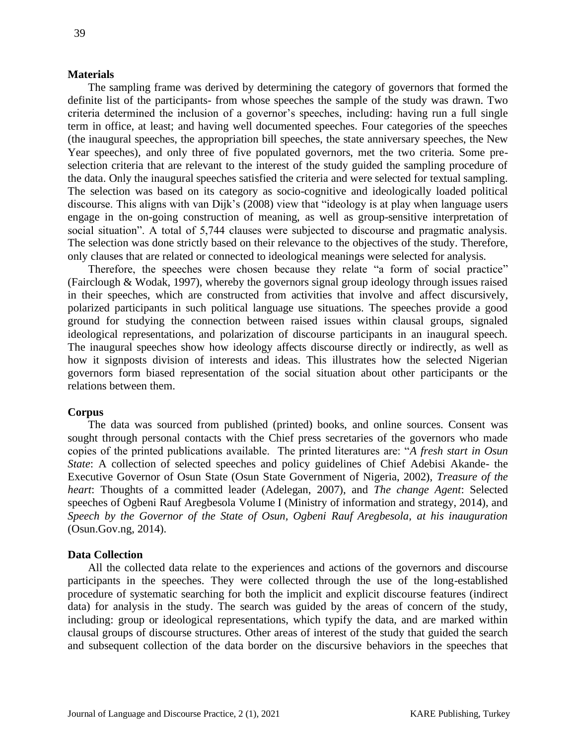#### **Materials**

The sampling frame was derived by determining the category of governors that formed the definite list of the participants- from whose speeches the sample of the study was drawn. Two criteria determined the inclusion of a governor's speeches, including: having run a full single term in office, at least; and having well documented speeches. Four categories of the speeches (the inaugural speeches, the appropriation bill speeches, the state anniversary speeches, the New Year speeches), and only three of five populated governors, met the two criteria. Some preselection criteria that are relevant to the interest of the study guided the sampling procedure of the data. Only the inaugural speeches satisfied the criteria and were selected for textual sampling. The selection was based on its category as socio-cognitive and ideologically loaded political discourse. This aligns with van Dijk's (2008) view that "ideology is at play when language users engage in the on-going construction of meaning, as well as group-sensitive interpretation of social situation". A total of 5,744 clauses were subjected to discourse and pragmatic analysis. The selection was done strictly based on their relevance to the objectives of the study. Therefore, only clauses that are related or connected to ideological meanings were selected for analysis.

Therefore, the speeches were chosen because they relate "a form of social practice" (Fairclough & Wodak, 1997), whereby the governors signal group ideology through issues raised in their speeches, which are constructed from activities that involve and affect discursively, polarized participants in such political language use situations. The speeches provide a good ground for studying the connection between raised issues within clausal groups, signaled ideological representations, and polarization of discourse participants in an inaugural speech. The inaugural speeches show how ideology affects discourse directly or indirectly, as well as how it signposts division of interests and ideas. This illustrates how the selected Nigerian governors form biased representation of the social situation about other participants or the relations between them.

#### **Corpus**

The data was sourced from published (printed) books, and online sources. Consent was sought through personal contacts with the Chief press secretaries of the governors who made copies of the printed publications available. The printed literatures are: "*A fresh start in Osun State*: A collection of selected speeches and policy guidelines of Chief Adebisi Akande- the Executive Governor of Osun State (Osun State Government of Nigeria, 2002), *Treasure of the heart*: Thoughts of a committed leader (Adelegan, 2007), and *The change Agent*: Selected speeches of Ogbeni Rauf Aregbesola Volume I (Ministry of information and strategy, 2014), and *Speech by the Governor of the State of Osun, Ogbeni Rauf Aregbesola, at his inauguration* (Osun.Gov.ng, 2014).

#### **Data Collection**

All the collected data relate to the experiences and actions of the governors and discourse participants in the speeches. They were collected through the use of the long-established procedure of systematic searching for both the implicit and explicit discourse features (indirect data) for analysis in the study. The search was guided by the areas of concern of the study, including: group or ideological representations, which typify the data, and are marked within clausal groups of discourse structures. Other areas of interest of the study that guided the search and subsequent collection of the data border on the discursive behaviors in the speeches that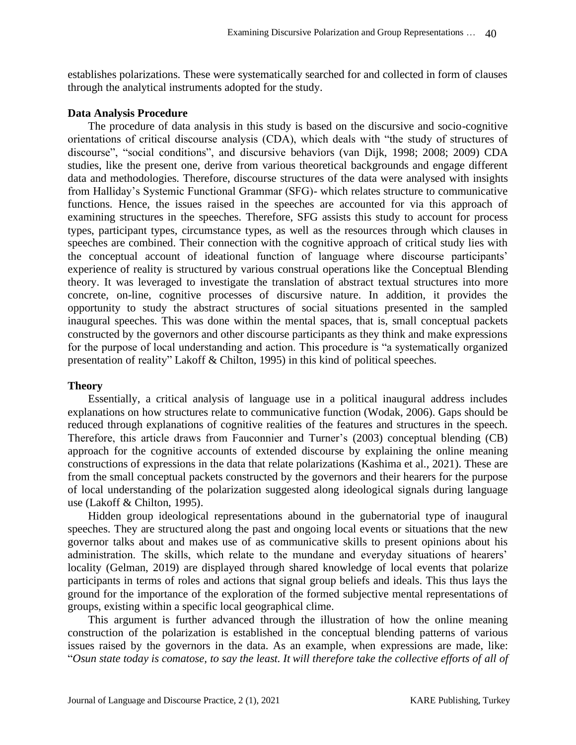establishes polarizations. These were systematically searched for and collected in form of clauses through the analytical instruments adopted for the study.

### **Data Analysis Procedure**

The procedure of data analysis in this study is based on the discursive and socio-cognitive orientations of critical discourse analysis (CDA), which deals with "the study of structures of discourse", "social conditions", and discursive behaviors (van Dijk, 1998; 2008; 2009) CDA studies, like the present one, derive from various theoretical backgrounds and engage different data and methodologies. Therefore, discourse structures of the data were analysed with insights from Halliday's Systemic Functional Grammar (SFG)- which relates structure to communicative functions. Hence, the issues raised in the speeches are accounted for via this approach of examining structures in the speeches. Therefore, SFG assists this study to account for process types, participant types, circumstance types, as well as the resources through which clauses in speeches are combined. Their connection with the cognitive approach of critical study lies with the conceptual account of ideational function of language where discourse participants' experience of reality is structured by various construal operations like the Conceptual Blending theory. It was leveraged to investigate the translation of abstract textual structures into more concrete, on-line, cognitive processes of discursive nature. In addition, it provides the opportunity to study the abstract structures of social situations presented in the sampled inaugural speeches. This was done within the mental spaces, that is, small conceptual packets constructed by the governors and other discourse participants as they think and make expressions for the purpose of local understanding and action. This procedure is "a systematically organized presentation of reality" Lakoff & Chilton, 1995) in this kind of political speeches.

# **Theory**

Essentially, a critical analysis of language use in a political inaugural address includes explanations on how structures relate to communicative function (Wodak, 2006). Gaps should be reduced through explanations of cognitive realities of the features and structures in the speech. Therefore, this article draws from Fauconnier and Turner's (2003) conceptual blending (CB) approach for the cognitive accounts of extended discourse by explaining the online meaning constructions of expressions in the data that relate polarizations (Kashima et al., 2021). These are from the small conceptual packets constructed by the governors and their hearers for the purpose of local understanding of the polarization suggested along ideological signals during language use (Lakoff & Chilton, 1995).

Hidden group ideological representations abound in the gubernatorial type of inaugural speeches. They are structured along the past and ongoing local events or situations that the new governor talks about and makes use of as communicative skills to present opinions about his administration. The skills, which relate to the mundane and everyday situations of hearers' locality (Gelman, 2019) are displayed through shared knowledge of local events that polarize participants in terms of roles and actions that signal group beliefs and ideals. This thus lays the ground for the importance of the exploration of the formed subjective mental representations of groups, existing within a specific local geographical clime.

This argument is further advanced through the illustration of how the online meaning construction of the polarization is established in the conceptual blending patterns of various issues raised by the governors in the data. As an example, when expressions are made, like: "*Osun state today is comatose, to say the least. It will therefore take the collective efforts of all of*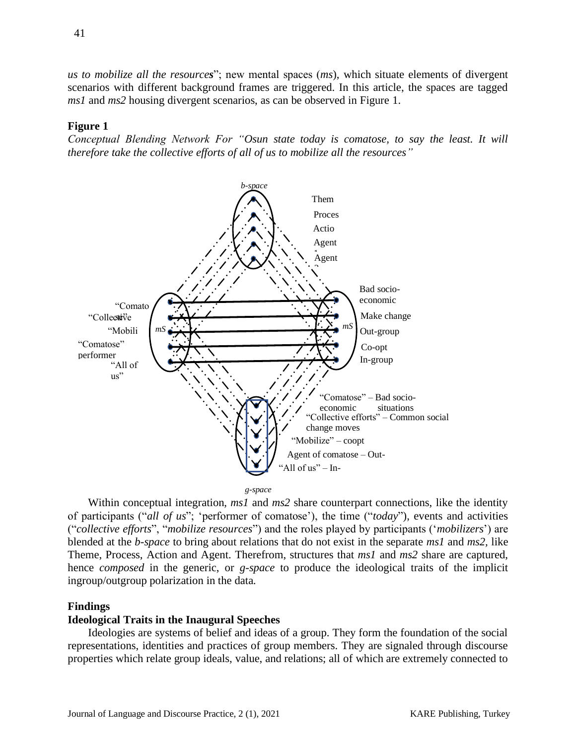*us to mobilize all the resources*"; new mental spaces (*ms*), which situate elements of divergent scenarios with different background frames are triggered. In this article, the spaces are tagged *ms1* and *ms2* housing divergent scenarios, as can be observed in Figure 1.

# **Figure 1**

*Conceptual Blending Network For "Osun state today is comatose, to say the least. It will therefore take the collective efforts of all of us to mobilize all the resources"*



Within conceptual integration, *ms1* and *ms2* share counterpart connections, like the identity of participants ("*all of us*"; 'performer of comatose'), the time ("*today*"), events and activities ("*collective efforts*", "*mobilize resources*") and the roles played by participants ('*mobilizers*') are blended at the *b-space* to bring about relations that do not exist in the separate *ms1* and *ms2,* like Theme, Process, Action and Agent. Therefrom, structures that *ms1* and *ms2* share are captured, hence *composed* in the generic, or *g-space* to produce the ideological traits of the implicit ingroup/outgroup polarization in the data.

### **Findings**

### **Ideological Traits in the Inaugural Speeches**

Ideologies are systems of belief and ideas of a group. They form the foundation of the social representations, identities and practices of group members. They are signaled through discourse properties which relate group ideals, value, and relations; all of which are extremely connected to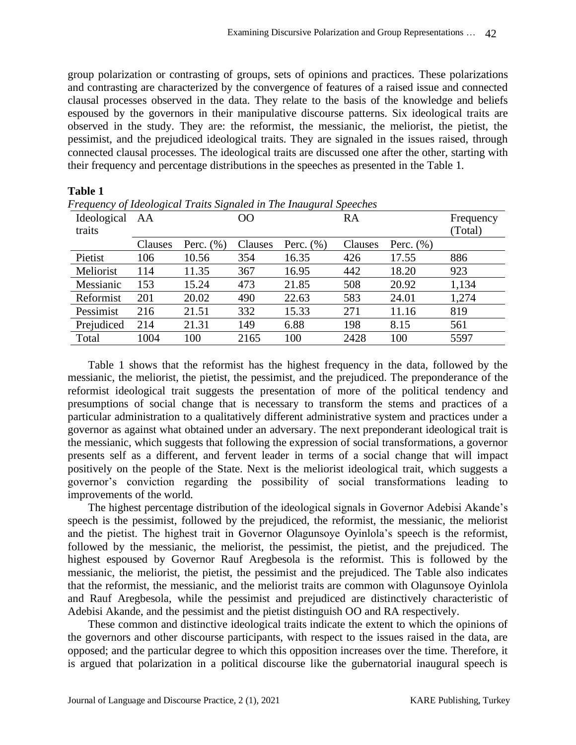group polarization or contrasting of groups, sets of opinions and practices. These polarizations and contrasting are characterized by the convergence of features of a raised issue and connected clausal processes observed in the data. They relate to the basis of the knowledge and beliefs espoused by the governors in their manipulative discourse patterns. Six ideological traits are observed in the study. They are: the reformist, the messianic, the meliorist, the pietist, the pessimist, and the prejudiced ideological traits. They are signaled in the issues raised, through connected clausal processes. The ideological traits are discussed one after the other, starting with their frequency and percentage distributions in the speeches as presented in the Table 1.

| Frequency of Ideological Traits Signaled in The Inaugural Speeches |         |               |         |               |         |               |           |
|--------------------------------------------------------------------|---------|---------------|---------|---------------|---------|---------------|-----------|
| Ideological                                                        | AA      |               | OO      |               | RA      |               | Frequency |
| traits                                                             |         |               |         |               |         |               | (Total)   |
|                                                                    | Clauses | Perc. $(\% )$ | Clauses | Perc. $(\% )$ | Clauses | Perc. $(\% )$ |           |
| Pietist                                                            | 106     | 10.56         | 354     | 16.35         | 426     | 17.55         | 886       |
| Meliorist                                                          | 114     | 11.35         | 367     | 16.95         | 442     | 18.20         | 923       |
| Messianic                                                          | 153     | 15.24         | 473     | 21.85         | 508     | 20.92         | 1,134     |
| Reformist                                                          | 201     | 20.02         | 490     | 22.63         | 583     | 24.01         | 1,274     |
| Pessimist                                                          | 216     | 21.51         | 332     | 15.33         | 271     | 11.16         | 819       |
| Prejudiced                                                         | 214     | 21.31         | 149     | 6.88          | 198     | 8.15          | 561       |
| Total                                                              | 1004    | 100           | 2165    | 100           | 2428    | 100           | 5597      |

# **Table 1**

*Frequency of Ideological Traits Signaled in The Inaugural Speeches* 

Table 1 shows that the reformist has the highest frequency in the data, followed by the messianic, the meliorist, the pietist, the pessimist, and the prejudiced. The preponderance of the reformist ideological trait suggests the presentation of more of the political tendency and presumptions of social change that is necessary to transform the stems and practices of a particular administration to a qualitatively different administrative system and practices under a governor as against what obtained under an adversary. The next preponderant ideological trait is the messianic, which suggests that following the expression of social transformations, a governor presents self as a different, and fervent leader in terms of a social change that will impact positively on the people of the State. Next is the meliorist ideological trait, which suggests a governor's conviction regarding the possibility of social transformations leading to improvements of the world.

The highest percentage distribution of the ideological signals in Governor Adebisi Akande's speech is the pessimist, followed by the prejudiced, the reformist, the messianic, the meliorist and the pietist. The highest trait in Governor Olagunsoye Oyinlola's speech is the reformist, followed by the messianic, the meliorist, the pessimist, the pietist, and the prejudiced. The highest espoused by Governor Rauf Aregbesola is the reformist. This is followed by the messianic, the meliorist, the pietist, the pessimist and the prejudiced. The Table also indicates that the reformist, the messianic, and the meliorist traits are common with Olagunsoye Oyinlola and Rauf Aregbesola, while the pessimist and prejudiced are distinctively characteristic of Adebisi Akande, and the pessimist and the pietist distinguish OO and RA respectively.

These common and distinctive ideological traits indicate the extent to which the opinions of the governors and other discourse participants, with respect to the issues raised in the data, are opposed; and the particular degree to which this opposition increases over the time. Therefore, it is argued that polarization in a political discourse like the gubernatorial inaugural speech is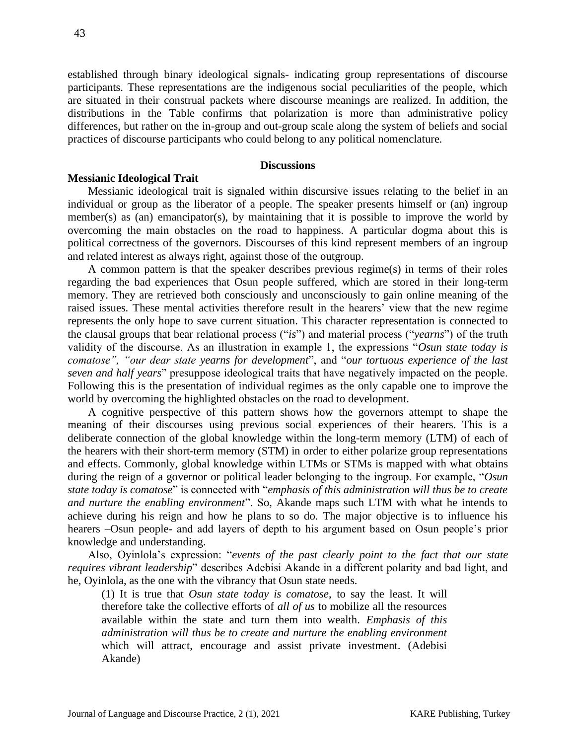established through binary ideological signals- indicating group representations of discourse participants. These representations are the indigenous social peculiarities of the people, which are situated in their construal packets where discourse meanings are realized. In addition, the distributions in the Table confirms that polarization is more than administrative policy differences, but rather on the in-group and out-group scale along the system of beliefs and social practices of discourse participants who could belong to any political nomenclature.

#### **Discussions**

#### **Messianic Ideological Trait**

Messianic ideological trait is signaled within discursive issues relating to the belief in an individual or group as the liberator of a people. The speaker presents himself or (an) ingroup member(s) as (an) emancipator(s), by maintaining that it is possible to improve the world by overcoming the main obstacles on the road to happiness. A particular dogma about this is political correctness of the governors. Discourses of this kind represent members of an ingroup and related interest as always right, against those of the outgroup.

A common pattern is that the speaker describes previous regime(s) in terms of their roles regarding the bad experiences that Osun people suffered, which are stored in their long-term memory. They are retrieved both consciously and unconsciously to gain online meaning of the raised issues. These mental activities therefore result in the hearers' view that the new regime represents the only hope to save current situation. This character representation is connected to the clausal groups that bear relational process ("*is*") and material process ("*yearns*") of the truth validity of the discourse. As an illustration in example 1, the expressions "*Osun state today is comatose", "our dear state yearns for development*", and "*our tortuous experience of the last seven and half years*" presuppose ideological traits that have negatively impacted on the people. Following this is the presentation of individual regimes as the only capable one to improve the world by overcoming the highlighted obstacles on the road to development.

A cognitive perspective of this pattern shows how the governors attempt to shape the meaning of their discourses using previous social experiences of their hearers. This is a deliberate connection of the global knowledge within the long-term memory (LTM) of each of the hearers with their short-term memory (STM) in order to either polarize group representations and effects. Commonly, global knowledge within LTMs or STMs is mapped with what obtains during the reign of a governor or political leader belonging to the ingroup. For example, "*Osun state today is comatose*" is connected with "*emphasis of this administration will thus be to create and nurture the enabling environment*". So, Akande maps such LTM with what he intends to achieve during his reign and how he plans to so do. The major objective is to influence his hearers –Osun people- and add layers of depth to his argument based on Osun people's prior knowledge and understanding.

Also, Oyinlola's expression: "*events of the past clearly point to the fact that our state requires vibrant leadership*" describes Adebisi Akande in a different polarity and bad light, and he, Oyinlola, as the one with the vibrancy that Osun state needs.

(1) It is true that *Osun state today is comatose*, to say the least. It will therefore take the collective efforts of *all of us* to mobilize all the resources available within the state and turn them into wealth. *Emphasis of this administration will thus be to create and nurture the enabling environment* which will attract, encourage and assist private investment. (Adebisi Akande)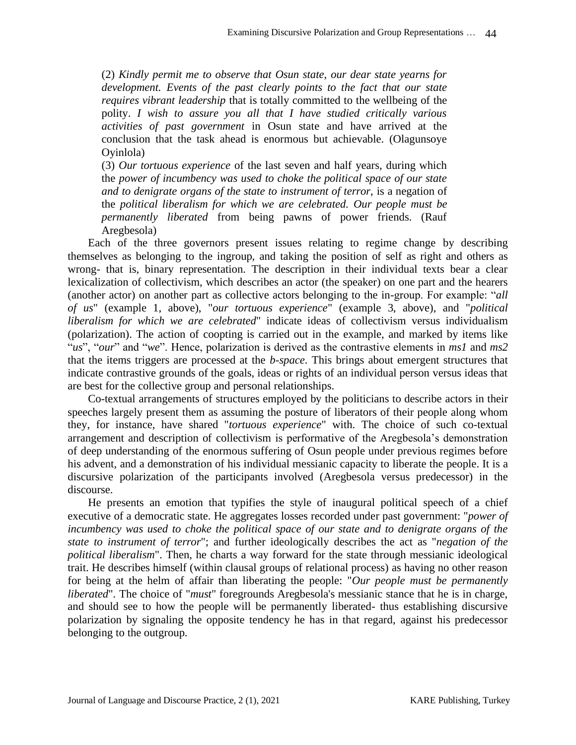(2) *Kindly permit me to observe that Osun state, our dear state yearns for development. Events of the past clearly points to the fact that our state requires vibrant leadership* that is totally committed to the wellbeing of the polity. *I wish to assure you all that I have studied critically various activities of past government* in Osun state and have arrived at the conclusion that the task ahead is enormous but achievable. (Olagunsoye Oyinlola)

(3) *Our tortuous experience* of the last seven and half years, during which the *power of incumbency was used to choke the political space of our state and to denigrate organs of the state to instrument of terror*, is a negation of the *political liberalism for which we are celebrated. Our people must be permanently liberated* from being pawns of power friends. (Rauf Aregbesola)

Each of the three governors present issues relating to regime change by describing themselves as belonging to the ingroup, and taking the position of self as right and others as wrong- that is, binary representation. The description in their individual texts bear a clear lexicalization of collectivism, which describes an actor (the speaker) on one part and the hearers (another actor) on another part as collective actors belonging to the in-group. For example: "*all of us*" (example 1, above), "*our tortuous experience*" (example 3, above), and "*political liberalism for which we are celebrated*" indicate ideas of collectivism versus individualism (polarization). The action of coopting is carried out in the example, and marked by items like "*us*", "*our*" and "*we*". Hence, polarization is derived as the contrastive elements in *ms1* and *ms2*  that the items triggers are processed at the *b-space*. This brings about emergent structures that indicate contrastive grounds of the goals, ideas or rights of an individual person versus ideas that are best for the collective group and personal relationships.

Co-textual arrangements of structures employed by the politicians to describe actors in their speeches largely present them as assuming the posture of liberators of their people along whom they, for instance, have shared "*tortuous experience*" with. The choice of such co-textual arrangement and description of collectivism is performative of the Aregbesola's demonstration of deep understanding of the enormous suffering of Osun people under previous regimes before his advent, and a demonstration of his individual messianic capacity to liberate the people. It is a discursive polarization of the participants involved (Aregbesola versus predecessor) in the discourse.

He presents an emotion that typifies the style of inaugural political speech of a chief executive of a democratic state. He aggregates losses recorded under past government: "*power of incumbency was used to choke the political space of our state and to denigrate organs of the state to instrument of terror*"; and further ideologically describes the act as "*negation of the political liberalism*". Then, he charts a way forward for the state through messianic ideological trait. He describes himself (within clausal groups of relational process) as having no other reason for being at the helm of affair than liberating the people: "*Our people must be permanently liberated*". The choice of "*must*" foregrounds Aregbesola's messianic stance that he is in charge, and should see to how the people will be permanently liberated- thus establishing discursive polarization by signaling the opposite tendency he has in that regard, against his predecessor belonging to the outgroup.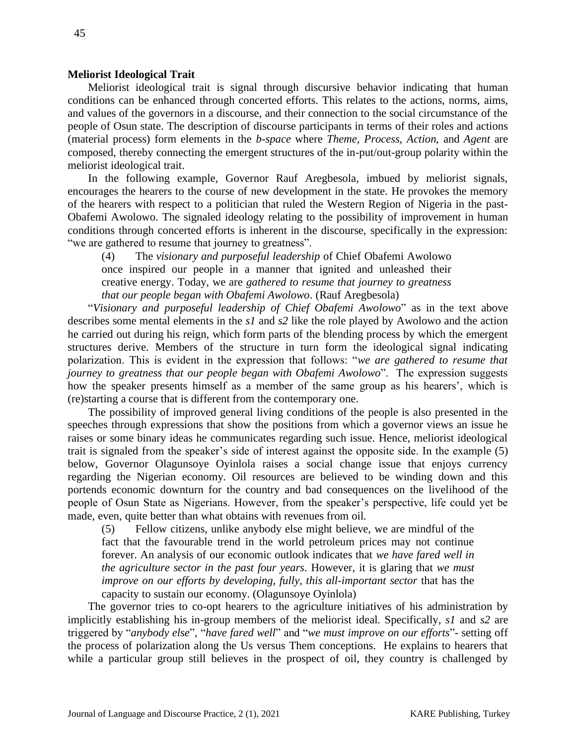### **Meliorist Ideological Trait**

Meliorist ideological trait is signal through discursive behavior indicating that human conditions can be enhanced through concerted efforts. This relates to the actions, norms, aims, and values of the governors in a discourse, and their connection to the social circumstance of the people of Osun state. The description of discourse participants in terms of their roles and actions (material process) form elements in the *b-space* where *Theme, Process, Action,* and *Agent* are composed, thereby connecting the emergent structures of the in-put/out-group polarity within the meliorist ideological trait.

In the following example, Governor Rauf Aregbesola, imbued by meliorist signals, encourages the hearers to the course of new development in the state. He provokes the memory of the hearers with respect to a politician that ruled the Western Region of Nigeria in the past-Obafemi Awolowo. The signaled ideology relating to the possibility of improvement in human conditions through concerted efforts is inherent in the discourse, specifically in the expression: "we are gathered to resume that journey to greatness".

(4) The *visionary and purposeful leadership* of Chief Obafemi Awolowo once inspired our people in a manner that ignited and unleashed their creative energy. Today, we are *gathered to resume that journey to greatness that our people began with Obafemi Awolowo*. (Rauf Aregbesola)

"*Visionary and purposeful leadership of Chief Obafemi Awolowo*" as in the text above describes some mental elements in the *s1* and *s2* like the role played by Awolowo and the action he carried out during his reign, which form parts of the blending process by which the emergent structures derive. Members of the structure in turn form the ideological signal indicating polarization. This is evident in the expression that follows: "*we are gathered to resume that journey to greatness that our people began with Obafemi Awolowo*". The expression suggests how the speaker presents himself as a member of the same group as his hearers', which is (re)starting a course that is different from the contemporary one.

The possibility of improved general living conditions of the people is also presented in the speeches through expressions that show the positions from which a governor views an issue he raises or some binary ideas he communicates regarding such issue. Hence, meliorist ideological trait is signaled from the speaker's side of interest against the opposite side. In the example (5) below, Governor Olagunsoye Oyinlola raises a social change issue that enjoys currency regarding the Nigerian economy. Oil resources are believed to be winding down and this portends economic downturn for the country and bad consequences on the livelihood of the people of Osun State as Nigerians. However, from the speaker's perspective, life could yet be made, even, quite better than what obtains with revenues from oil.

(5) Fellow citizens, unlike anybody else might believe, we are mindful of the fact that the favourable trend in the world petroleum prices may not continue forever. An analysis of our economic outlook indicates that *we have fared well in the agriculture sector in the past four years*. However, it is glaring that *we must improve on our efforts by developing, fully, this all-important sector* that has the capacity to sustain our economy. (Olagunsoye Oyinlola)

The governor tries to co-opt hearers to the agriculture initiatives of his administration by implicitly establishing his in-group members of the meliorist ideal. Specifically, *s1* and *s2* are triggered by "*anybody else*", "*have fared well*" and "*we must improve on our efforts*"- setting off the process of polarization along the Us versus Them conceptions. He explains to hearers that while a particular group still believes in the prospect of oil, they country is challenged by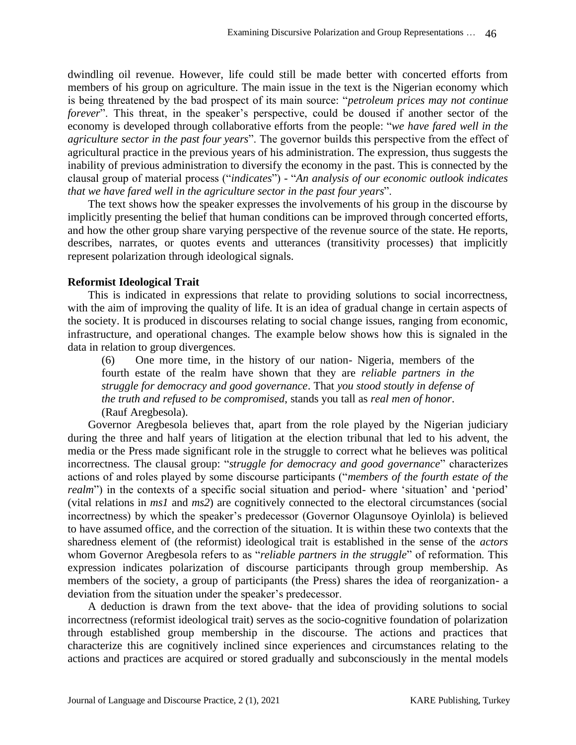dwindling oil revenue. However, life could still be made better with concerted efforts from members of his group on agriculture. The main issue in the text is the Nigerian economy which is being threatened by the bad prospect of its main source: "*petroleum prices may not continue forever*". This threat, in the speaker's perspective, could be doused if another sector of the economy is developed through collaborative efforts from the people: "*we have fared well in the agriculture sector in the past four years*". The governor builds this perspective from the effect of agricultural practice in the previous years of his administration. The expression, thus suggests the inability of previous administration to diversify the economy in the past. This is connected by the clausal group of material process ("*indicates*") - "*An analysis of our economic outlook indicates that we have fared well in the agriculture sector in the past four years*".

The text shows how the speaker expresses the involvements of his group in the discourse by implicitly presenting the belief that human conditions can be improved through concerted efforts, and how the other group share varying perspective of the revenue source of the state. He reports, describes, narrates, or quotes events and utterances (transitivity processes) that implicitly represent polarization through ideological signals.

# **Reformist Ideological Trait**

This is indicated in expressions that relate to providing solutions to social incorrectness, with the aim of improving the quality of life. It is an idea of gradual change in certain aspects of the society. It is produced in discourses relating to social change issues, ranging from economic, infrastructure, and operational changes. The example below shows how this is signaled in the data in relation to group divergences.

(6) One more time, in the history of our nation- Nigeria, members of the fourth estate of the realm have shown that they are *reliable partners in the struggle for democracy and good governance*. That *you stood stoutly in defense of the truth and refused to be compromised*, stands you tall as *real men of honor*. (Rauf Aregbesola).

Governor Aregbesola believes that, apart from the role played by the Nigerian judiciary during the three and half years of litigation at the election tribunal that led to his advent, the media or the Press made significant role in the struggle to correct what he believes was political incorrectness. The clausal group: "*struggle for democracy and good governance*" characterizes actions of and roles played by some discourse participants ("*members of the fourth estate of the realm*") in the contexts of a specific social situation and period- where 'situation' and 'period' (vital relations in *ms1* and *ms2*) are cognitively connected to the electoral circumstances (social incorrectness) by which the speaker's predecessor (Governor Olagunsoye Oyinlola) is believed to have assumed office, and the correction of the situation. It is within these two contexts that the sharedness element of (the reformist) ideological trait is established in the sense of the *actors* whom Governor Aregbesola refers to as "*reliable partners in the struggle*" of reformation. This expression indicates polarization of discourse participants through group membership. As members of the society, a group of participants (the Press) shares the idea of reorganization- a deviation from the situation under the speaker's predecessor.

A deduction is drawn from the text above- that the idea of providing solutions to social incorrectness (reformist ideological trait) serves as the socio-cognitive foundation of polarization through established group membership in the discourse. The actions and practices that characterize this are cognitively inclined since experiences and circumstances relating to the actions and practices are acquired or stored gradually and subconsciously in the mental models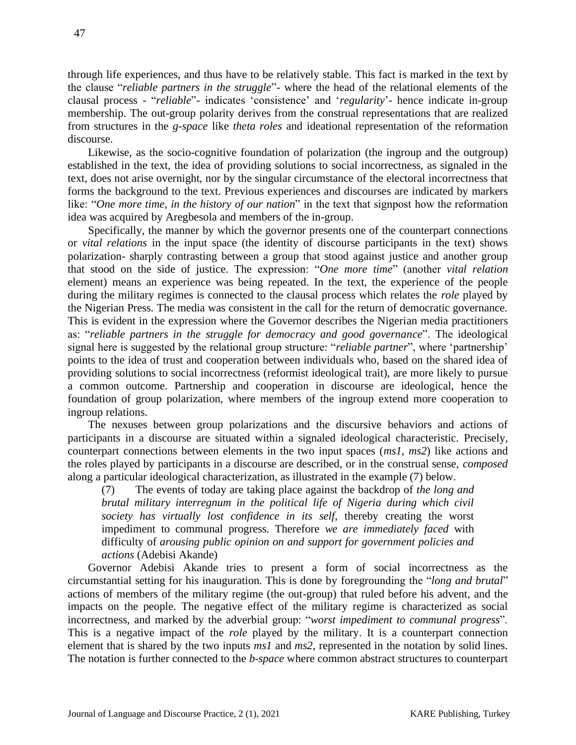through life experiences, and thus have to be relatively stable. This fact is marked in the text by the clause "*reliable partners in the struggle*"- where the head of the relational elements of the clausal process - "*reliable*"- indicates 'consistence' and '*regularity*'- hence indicate in-group membership. The out-group polarity derives from the construal representations that are realized from structures in the *g-space* like *theta roles* and ideational representation of the reformation discourse.

Likewise, as the socio-cognitive foundation of polarization (the ingroup and the outgroup) established in the text, the idea of providing solutions to social incorrectness, as signaled in the text, does not arise overnight, nor by the singular circumstance of the electoral incorrectness that forms the background to the text. Previous experiences and discourses are indicated by markers like: "*One more time, in the history of our nation*" in the text that signpost how the reformation idea was acquired by Aregbesola and members of the in-group.

Specifically, the manner by which the governor presents one of the counterpart connections or *vital relations* in the input space (the identity of discourse participants in the text) shows polarization- sharply contrasting between a group that stood against justice and another group that stood on the side of justice. The expression: "*One more time*" (another *vital relation* element) means an experience was being repeated. In the text, the experience of the people during the military regimes is connected to the clausal process which relates the *role* played by the Nigerian Press. The media was consistent in the call for the return of democratic governance. This is evident in the expression where the Governor describes the Nigerian media practitioners as: "*reliable partners in the struggle for democracy and good governance*". The ideological signal here is suggested by the relational group structure: "*reliable partner*", where 'partnership' points to the idea of trust and cooperation between individuals who, based on the shared idea of providing solutions to social incorrectness (reformist ideological trait), are more likely to pursue a common outcome. Partnership and cooperation in discourse are ideological, hence the foundation of group polarization, where members of the ingroup extend more cooperation to ingroup relations.

The nexuses between group polarizations and the discursive behaviors and actions of participants in a discourse are situated within a signaled ideological characteristic. Precisely, counterpart connections between elements in the two input spaces (*ms1, ms2*) like actions and the roles played by participants in a discourse are described, or in the construal sense, *composed* along a particular ideological characterization, as illustrated in the example (7) below.

(7) The events of today are taking place against the backdrop of *the long and brutal military interregnum in the political life of Nigeria during which civil society has virtually lost confidence in its self*, thereby creating the worst impediment to communal progress. Therefore *we are immediately faced* with difficulty of *arousing public opinion on and support for government policies and actions* (Adebisi Akande)

Governor Adebisi Akande tries to present a form of social incorrectness as the circumstantial setting for his inauguration. This is done by foregrounding the "*long and brutal*" actions of members of the military regime (the out-group) that ruled before his advent, and the impacts on the people. The negative effect of the military regime is characterized as social incorrectness, and marked by the adverbial group: "*worst impediment to communal progress*". This is a negative impact of the *role* played by the military. It is a counterpart connection element that is shared by the two inputs *ms1* and *ms2*, represented in the notation by solid lines. The notation is further connected to the *b*-*space* where common abstract structures to counterpart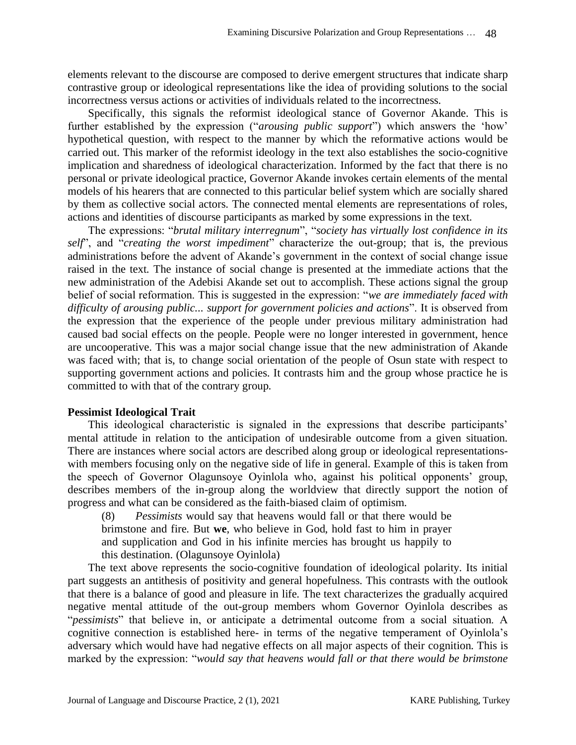elements relevant to the discourse are composed to derive emergent structures that indicate sharp contrastive group or ideological representations like the idea of providing solutions to the social incorrectness versus actions or activities of individuals related to the incorrectness.

Specifically, this signals the reformist ideological stance of Governor Akande. This is further established by the expression ("*arousing public support*") which answers the 'how' hypothetical question, with respect to the manner by which the reformative actions would be carried out. This marker of the reformist ideology in the text also establishes the socio-cognitive implication and sharedness of ideological characterization. Informed by the fact that there is no personal or private ideological practice, Governor Akande invokes certain elements of the mental models of his hearers that are connected to this particular belief system which are socially shared by them as collective social actors. The connected mental elements are representations of roles, actions and identities of discourse participants as marked by some expressions in the text.

The expressions: "*brutal military interregnum*", "*society has virtually lost confidence in its self*", and "*creating the worst impediment*" characterize the out-group; that is, the previous administrations before the advent of Akande's government in the context of social change issue raised in the text. The instance of social change is presented at the immediate actions that the new administration of the Adebisi Akande set out to accomplish. These actions signal the group belief of social reformation. This is suggested in the expression: "*we are immediately faced with difficulty of arousing public... support for government policies and actions*". It is observed from the expression that the experience of the people under previous military administration had caused bad social effects on the people. People were no longer interested in government, hence are uncooperative. This was a major social change issue that the new administration of Akande was faced with; that is, to change social orientation of the people of Osun state with respect to supporting government actions and policies. It contrasts him and the group whose practice he is committed to with that of the contrary group.

# **Pessimist Ideological Trait**

This ideological characteristic is signaled in the expressions that describe participants' mental attitude in relation to the anticipation of undesirable outcome from a given situation. There are instances where social actors are described along group or ideological representationswith members focusing only on the negative side of life in general. Example of this is taken from the speech of Governor Olagunsoye Oyinlola who, against his political opponents' group, describes members of the in-group along the worldview that directly support the notion of progress and what can be considered as the faith-biased claim of optimism.

(8) *Pessimists* would say that heavens would fall or that there would be brimstone and fire. But **we**, who believe in God, hold fast to him in prayer and supplication and God in his infinite mercies has brought us happily to this destination. (Olagunsoye Oyinlola)

The text above represents the socio-cognitive foundation of ideological polarity. Its initial part suggests an antithesis of positivity and general hopefulness. This contrasts with the outlook that there is a balance of good and pleasure in life. The text characterizes the gradually acquired negative mental attitude of the out-group members whom Governor Oyinlola describes as "*pessimists*" that believe in, or anticipate a detrimental outcome from a social situation. A cognitive connection is established here- in terms of the negative temperament of Oyinlola's adversary which would have had negative effects on all major aspects of their cognition. This is marked by the expression: "*would say that heavens would fall or that there would be brimstone*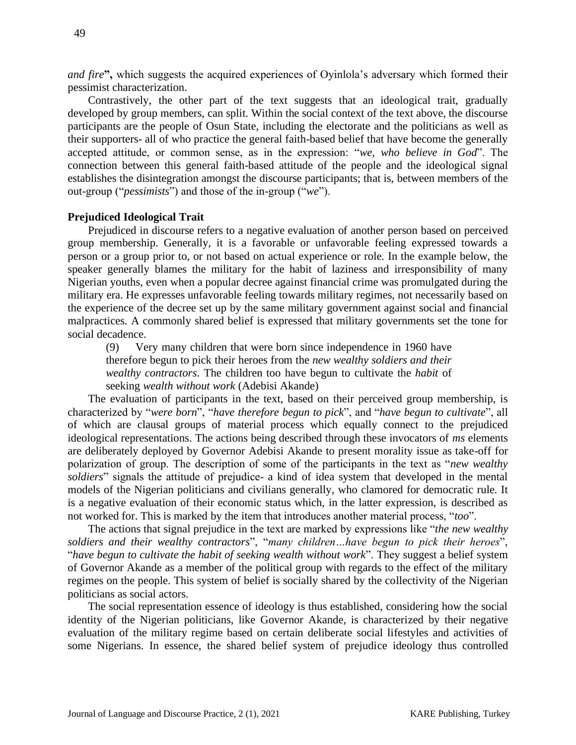*and fire***",** which suggests the acquired experiences of Oyinlola's adversary which formed their pessimist characterization.

Contrastively, the other part of the text suggests that an ideological trait, gradually developed by group members, can split. Within the social context of the text above, the discourse participants are the people of Osun State, including the electorate and the politicians as well as their supporters- all of who practice the general faith-based belief that have become the generally accepted attitude, or common sense, as in the expression: "*we, who believe in God*". The connection between this general faith-based attitude of the people and the ideological signal establishes the disintegration amongst the discourse participants; that is, between members of the out-group ("*pessimists*") and those of the in-group ("*we*").

### **Prejudiced Ideological Trait**

Prejudiced in discourse refers to a negative evaluation of another person based on perceived group membership. Generally, it is a favorable or unfavorable feeling expressed towards a person or a group prior to, or not based on actual experience or role. In the example below, the speaker generally blames the military for the habit of laziness and irresponsibility of many Nigerian youths, even when a popular decree against financial crime was promulgated during the military era. He expresses unfavorable feeling towards military regimes, not necessarily based on the experience of the decree set up by the same military government against social and financial malpractices. A commonly shared belief is expressed that military governments set the tone for social decadence.

(9) Very many children that were born since independence in 1960 have therefore begun to pick their heroes from the *new wealthy soldiers and their wealthy contractors*. The children too have begun to cultivate the *habit* of seeking *wealth without work* (Adebisi Akande)

The evaluation of participants in the text, based on their perceived group membership, is characterized by "*were born*", "*have therefore begun to pick*", and "*have begun to cultivate*", all of which are clausal groups of material process which equally connect to the prejudiced ideological representations. The actions being described through these invocators of *ms* elements are deliberately deployed by Governor Adebisi Akande to present morality issue as take-off for polarization of group. The description of some of the participants in the text as "*new wealthy soldiers*" signals the attitude of prejudice- a kind of idea system that developed in the mental models of the Nigerian politicians and civilians generally, who clamored for democratic rule. It is a negative evaluation of their economic status which, in the latter expression, is described as not worked for. This is marked by the item that introduces another material process, "*too*".

The actions that signal prejudice in the text are marked by expressions like "*the new wealthy soldiers and their wealthy contractors*", "*many children…have begun to pick their heroes*", "*have begun to cultivate the habit of seeking wealth without work*". They suggest a belief system of Governor Akande as a member of the political group with regards to the effect of the military regimes on the people. This system of belief is socially shared by the collectivity of the Nigerian politicians as social actors.

The social representation essence of ideology is thus established, considering how the social identity of the Nigerian politicians, like Governor Akande, is characterized by their negative evaluation of the military regime based on certain deliberate social lifestyles and activities of some Nigerians. In essence, the shared belief system of prejudice ideology thus controlled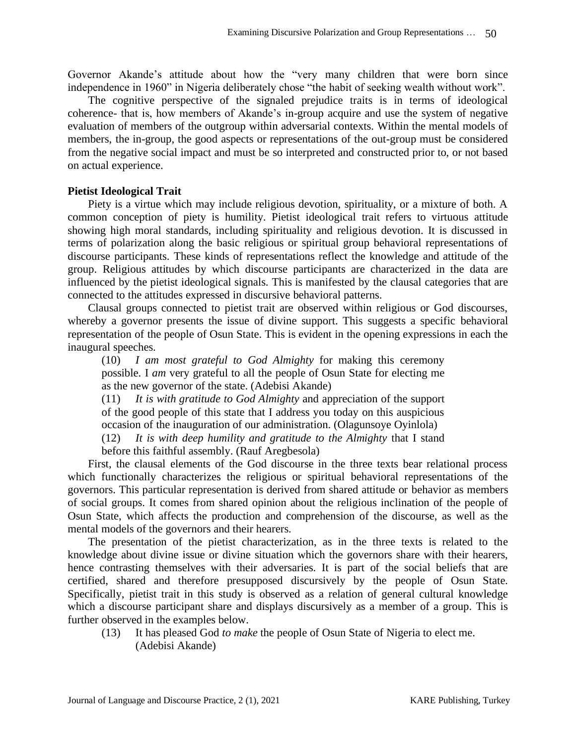Governor Akande's attitude about how the "very many children that were born since independence in 1960" in Nigeria deliberately chose "the habit of seeking wealth without work".

The cognitive perspective of the signaled prejudice traits is in terms of ideological coherence- that is, how members of Akande's in-group acquire and use the system of negative evaluation of members of the outgroup within adversarial contexts. Within the mental models of members, the in-group, the good aspects or representations of the out-group must be considered from the negative social impact and must be so interpreted and constructed prior to, or not based on actual experience.

# **Pietist Ideological Trait**

Piety is a virtue which may include religious devotion, spirituality, or a mixture of both. A common conception of piety is humility. Pietist ideological trait refers to virtuous attitude showing high moral standards, including spirituality and religious devotion. It is discussed in terms of polarization along the basic religious or spiritual group behavioral representations of discourse participants. These kinds of representations reflect the knowledge and attitude of the group. Religious attitudes by which discourse participants are characterized in the data are influenced by the pietist ideological signals. This is manifested by the clausal categories that are connected to the attitudes expressed in discursive behavioral patterns.

Clausal groups connected to pietist trait are observed within religious or God discourses, whereby a governor presents the issue of divine support. This suggests a specific behavioral representation of the people of Osun State. This is evident in the opening expressions in each the inaugural speeches.

(10) *I am most grateful to God Almighty* for making this ceremony possible. I *am* very grateful to all the people of Osun State for electing me as the new governor of the state. (Adebisi Akande)

(11) *It is with gratitude to God Almighty* and appreciation of the support of the good people of this state that I address you today on this auspicious occasion of the inauguration of our administration. (Olagunsoye Oyinlola)

(12) *It is with deep humility and gratitude to the Almighty* that I stand

before this faithful assembly. (Rauf Aregbesola)

First, the clausal elements of the God discourse in the three texts bear relational process which functionally characterizes the religious or spiritual behavioral representations of the governors. This particular representation is derived from shared attitude or behavior as members of social groups. It comes from shared opinion about the religious inclination of the people of Osun State, which affects the production and comprehension of the discourse, as well as the mental models of the governors and their hearers.

The presentation of the pietist characterization, as in the three texts is related to the knowledge about divine issue or divine situation which the governors share with their hearers, hence contrasting themselves with their adversaries. It is part of the social beliefs that are certified, shared and therefore presupposed discursively by the people of Osun State. Specifically, pietist trait in this study is observed as a relation of general cultural knowledge which a discourse participant share and displays discursively as a member of a group. This is further observed in the examples below.

(13) It has pleased God *to make* the people of Osun State of Nigeria to elect me. (Adebisi Akande)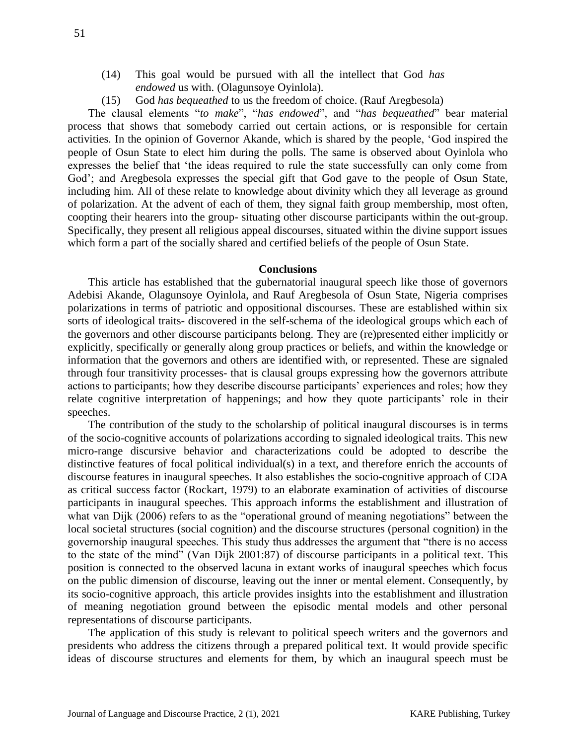- (14) This goal would be pursued with all the intellect that God *has endowed* us with. (Olagunsoye Oyinlola).
- (15) God *has bequeathed* to us the freedom of choice. (Rauf Aregbesola)

The clausal elements "*to make*", "*has endowed*", and "*has bequeathed*" bear material process that shows that somebody carried out certain actions, or is responsible for certain activities. In the opinion of Governor Akande, which is shared by the people, 'God inspired the people of Osun State to elect him during the polls. The same is observed about Oyinlola who expresses the belief that 'the ideas required to rule the state successfully can only come from God'; and Aregbesola expresses the special gift that God gave to the people of Osun State, including him. All of these relate to knowledge about divinity which they all leverage as ground of polarization. At the advent of each of them, they signal faith group membership, most often, coopting their hearers into the group- situating other discourse participants within the out-group. Specifically, they present all religious appeal discourses, situated within the divine support issues which form a part of the socially shared and certified beliefs of the people of Osun State.

#### **Conclusions**

This article has established that the gubernatorial inaugural speech like those of governors Adebisi Akande, Olagunsoye Oyinlola, and Rauf Aregbesola of Osun State, Nigeria comprises polarizations in terms of patriotic and oppositional discourses. These are established within six sorts of ideological traits- discovered in the self-schema of the ideological groups which each of the governors and other discourse participants belong. They are (re)presented either implicitly or explicitly, specifically or generally along group practices or beliefs, and within the knowledge or information that the governors and others are identified with, or represented. These are signaled through four transitivity processes- that is clausal groups expressing how the governors attribute actions to participants; how they describe discourse participants' experiences and roles; how they relate cognitive interpretation of happenings; and how they quote participants' role in their speeches.

The contribution of the study to the scholarship of political inaugural discourses is in terms of the socio-cognitive accounts of polarizations according to signaled ideological traits. This new micro-range discursive behavior and characterizations could be adopted to describe the distinctive features of focal political individual(s) in a text, and therefore enrich the accounts of discourse features in inaugural speeches. It also establishes the socio-cognitive approach of CDA as critical success factor (Rockart, 1979) to an elaborate examination of activities of discourse participants in inaugural speeches. This approach informs the establishment and illustration of what van Dijk (2006) refers to as the "operational ground of meaning negotiations" between the local societal structures (social cognition) and the discourse structures (personal cognition) in the governorship inaugural speeches. This study thus addresses the argument that "there is no access to the state of the mind" (Van Dijk 2001:87) of discourse participants in a political text. This position is connected to the observed lacuna in extant works of inaugural speeches which focus on the public dimension of discourse, leaving out the inner or mental element. Consequently, by its socio-cognitive approach, this article provides insights into the establishment and illustration of meaning negotiation ground between the episodic mental models and other personal representations of discourse participants.

The application of this study is relevant to political speech writers and the governors and presidents who address the citizens through a prepared political text. It would provide specific ideas of discourse structures and elements for them, by which an inaugural speech must be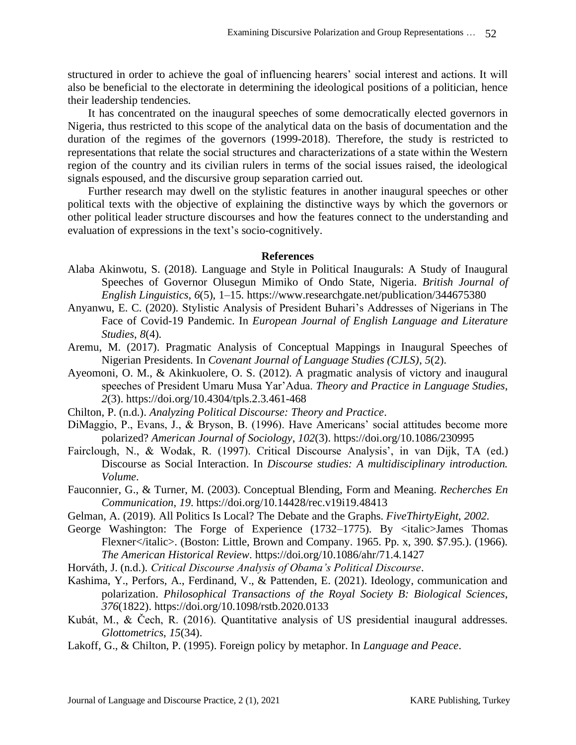structured in order to achieve the goal of influencing hearers' social interest and actions. It will also be beneficial to the electorate in determining the ideological positions of a politician, hence their leadership tendencies.

It has concentrated on the inaugural speeches of some democratically elected governors in Nigeria, thus restricted to this scope of the analytical data on the basis of documentation and the duration of the regimes of the governors (1999-2018). Therefore, the study is restricted to representations that relate the social structures and characterizations of a state within the Western region of the country and its civilian rulers in terms of the social issues raised, the ideological signals espoused, and the discursive group separation carried out.

Further research may dwell on the stylistic features in another inaugural speeches or other political texts with the objective of explaining the distinctive ways by which the governors or other political leader structure discourses and how the features connect to the understanding and evaluation of expressions in the text's socio-cognitively.

### **References**

- Alaba Akinwotu, S. (2018). Language and Style in Political Inaugurals: A Study of Inaugural Speeches of Governor Olusegun Mimiko of Ondo State, Nigeria. *British Journal of English Linguistics*, *6*(5), 1–15.<https://www.researchgate.net/publication/344675380>
- Anyanwu, E. C. (2020). Stylistic Analysis of President Buhari's Addresses of Nigerians in The Face of Covid-19 Pandemic. In *European Journal of English Language and Literature Studies*, *8*(4).
- Aremu, M. (2017). Pragmatic Analysis of Conceptual Mappings in Inaugural Speeches of Nigerian Presidents. In *Covenant Journal of Language Studies (CJLS)*, *5*(2).
- Ayeomoni, O. M., & Akinkuolere, O. S. (2012). A pragmatic analysis of victory and inaugural speeches of President Umaru Musa Yar'Adua. *Theory and Practice in Language Studies*, *2*(3).<https://doi.org/10.4304/tpls.2.3.461-468>
- Chilton, P. (n.d.). *Analyzing Political Discourse: Theory and Practice*.
- DiMaggio, P., Evans, J., & Bryson, B. (1996). Have Americans' social attitudes become more polarized? *American Journal of Sociology*, *102*(3).<https://doi.org/10.1086/230995>
- Fairclough, N., & Wodak, R. (1997). Critical Discourse Analysis', in van Dijk, TA (ed.) Discourse as Social Interaction. In *Discourse studies: A multidisciplinary introduction. Volume*.
- Fauconnier, G., & Turner, M. (2003). Conceptual Blending, Form and Meaning. *Recherches En Communication*, *19*.<https://doi.org/10.14428/rec.v19i19.48413>
- Gelman, A. (2019). All Politics Is Local? The Debate and the Graphs. *FiveThirtyEight*, *2002*.
- George Washington: The Forge of Experience (1732–1775). By  $\lt$ italic>James Thomas Flexner</italic>. (Boston: Little, Brown and Company. 1965. Pp. x, 390. \$7.95.). (1966). *The American Historical Review*.<https://doi.org/10.1086/ahr/71.4.1427>
- Horváth, J. (n.d.). *Critical Discourse Analysis of Obama's Political Discourse*.
- Kashima, Y., Perfors, A., Ferdinand, V., & Pattenden, E. (2021). Ideology, communication and polarization. *Philosophical Transactions of the Royal Society B: Biological Sciences*, *376*(1822).<https://doi.org/10.1098/rstb.2020.0133>
- Kubát, M., & Čech, R. (2016). Quantitative analysis of US presidential inaugural addresses. *Glottometrics*, *15*(34).
- Lakoff, G., & Chilton, P. (1995). Foreign policy by metaphor. In *Language and Peace*.